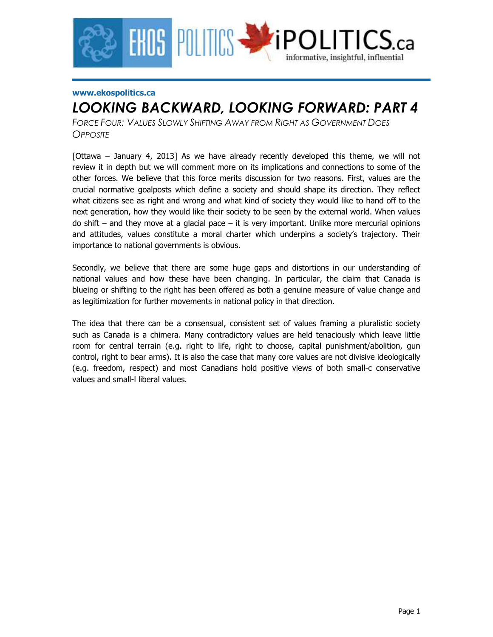

#### **www.ekospolitics.ca**

# *LOOKING BACKWARD, LOOKING FORWARD: PART 4*

*FORCE FOUR: VALUES SLOWLY SHIFTING AWAY FROM RIGHT AS GOVERNMENT DOES OPPOSITE*

[Ottawa – January 4, 2013] As we have already recently developed this theme, we will not review it in depth but we will comment more on its implications and connections to some of the other forces. We believe that this force merits discussion for two reasons. First, values are the crucial normative goalposts which define a society and should shape its direction. They reflect what citizens see as right and wrong and what kind of society they would like to hand off to the next generation, how they would like their society to be seen by the external world. When values do shift – and they move at a glacial pace – it is very important. Unlike more mercurial opinions and attitudes, values constitute a moral charter which underpins a society's trajectory. Their importance to national governments is obvious.

Secondly, we believe that there are some huge gaps and distortions in our understanding of national values and how these have been changing. In particular, the claim that Canada is blueing or shifting to the right has been offered as both a genuine measure of value change and as legitimization for further movements in national policy in that direction.

The idea that there can be a consensual, consistent set of values framing a pluralistic society such as Canada is a chimera. Many contradictory values are held tenaciously which leave little room for central terrain (e.g. right to life, right to choose, capital punishment/abolition, gun control, right to bear arms). It is also the case that many core values are not divisive ideologically (e.g. freedom, respect) and most Canadians hold positive views of both small-c conservative values and small-l liberal values.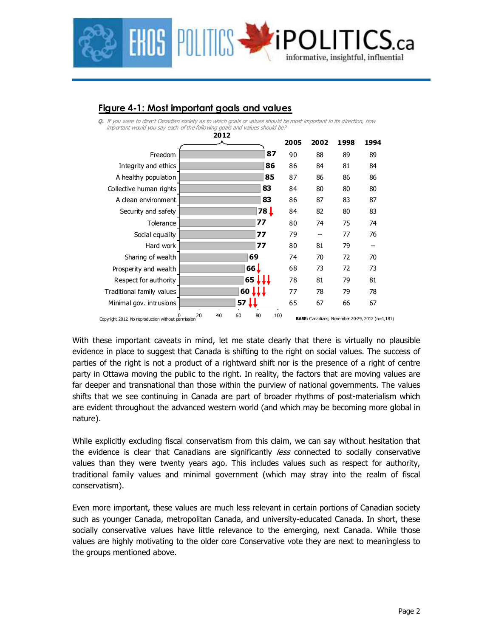

## **Figure 4-1: Most important goals and values**

**Q.** If you were to direct Canadian society as to which goals or values should be most important in its direction, how important would you say each of the following goals and values should be?

|                                                         | 2012 |    |                 |           |      |      |      |                                                        |  |
|---------------------------------------------------------|------|----|-----------------|-----------|------|------|------|--------------------------------------------------------|--|
|                                                         |      |    |                 |           | 2005 | 2002 | 1998 | 1994                                                   |  |
| Freedom                                                 |      |    |                 | 87        | 90   | 88   | 89   | 89                                                     |  |
| Integrity and ethics                                    |      |    |                 | 86        | 86   | 84   | 81   | 84                                                     |  |
| A healthy population                                    |      |    |                 | 85        | 87   | 86   | 86   | 86                                                     |  |
| Collective human rights                                 |      |    |                 | 83        | 84   | 80   | 80   | 80                                                     |  |
| A clean environment                                     |      |    |                 | 83        | 86   | 87   | 83   | 87                                                     |  |
| Security and safety                                     |      |    |                 | 78 L      | 84   | 82   | 80   | 83                                                     |  |
| Tolerance                                               |      |    |                 | 77        | 80   | 74   | 75   | 74                                                     |  |
| Social equality                                         |      |    |                 | 77        | 79   |      | 77   | 76                                                     |  |
| Hard work                                               |      |    |                 | 77        | 80   | 81   | 79   | --                                                     |  |
| Sharing of wealth                                       |      |    |                 | 69        | 74   | 70   | 72   | 70                                                     |  |
| Prosperity and wealth                                   |      |    | 66J             |           | 68   | 73   | 72   | 73                                                     |  |
| Respect for authority                                   |      |    | 65              |           | 78   | 81   | 79   | 81                                                     |  |
| Traditional family values                               |      |    | $60 \downarrow$ |           | 77   | 78   | 79   | 78                                                     |  |
| Minimal gov. intrusions                                 |      |    | 57              |           | 65   | 67   | 66   | 67                                                     |  |
| 0<br>Copyright 2012. No reproduction without permission | 20   | 40 | 60              | 100<br>80 |      |      |      | <b>BASE:</b> Canadians; November 20-29, 2012 (n=1,181) |  |

With these important caveats in mind, let me state clearly that there is virtually no plausible evidence in place to suggest that Canada is shifting to the right on social values. The success of parties of the right is not a product of a rightward shift nor is the presence of a right of centre party in Ottawa moving the public to the right. In reality, the factors that are moving values are far deeper and transnational than those within the purview of national governments. The values shifts that we see continuing in Canada are part of broader rhythms of post-materialism which are evident throughout the advanced western world (and which may be becoming more global in nature).

While explicitly excluding fiscal conservatism from this claim, we can say without hesitation that the evidence is clear that Canadians are significantly *less* connected to socially conservative values than they were twenty years ago. This includes values such as respect for authority, traditional family values and minimal government (which may stray into the realm of fiscal conservatism).

Even more important, these values are much less relevant in certain portions of Canadian society such as younger Canada, metropolitan Canada, and university-educated Canada. In short, these socially conservative values have little relevance to the emerging, next Canada. While those values are highly motivating to the older core Conservative vote they are next to meaningless to the groups mentioned above.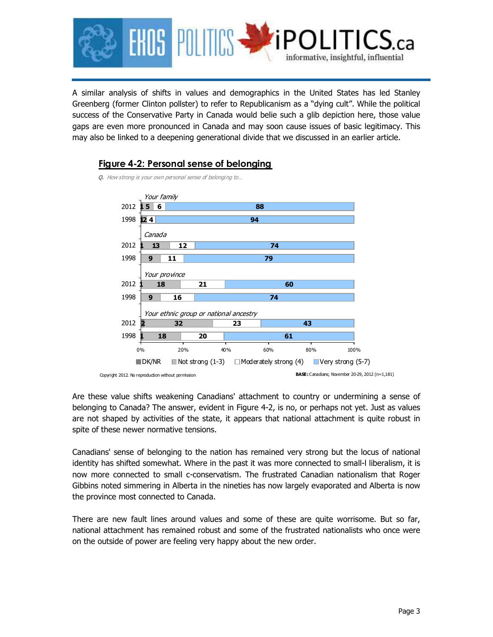

A similar analysis of shifts in values and demographics in the United States has led Stanley Greenberg (former Clinton pollster) to refer to Republicanism as a "dying cult". While the political success of the Conservative Party in Canada would belie such a glib depiction here, those value gaps are even more pronounced in Canada and may soon cause issues of basic legitimacy. This may also be linked to a deepening generational divide that we discussed in an earlier article.



#### **Figure 4-2: Personal sense of belonging**

Are these value shifts weakening Canadians' attachment to country or undermining a sense of belonging to Canada? The answer, evident in Figure 4-2, is no, or perhaps not yet. Just as values are not shaped by activities of the state, it appears that national attachment is quite robust in spite of these newer normative tensions.

Canadians' sense of belonging to the nation has remained very strong but the locus of national identity has shifted somewhat. Where in the past it was more connected to small-l liberalism, it is now more connected to small c-conservatism. The frustrated Canadian nationalism that Roger Gibbins noted simmering in Alberta in the nineties has now largely evaporated and Alberta is now the province most connected to Canada.

There are new fault lines around values and some of these are quite worrisome. But so far, national attachment has remained robust and some of the frustrated nationalists who once were on the outside of power are feeling very happy about the new order.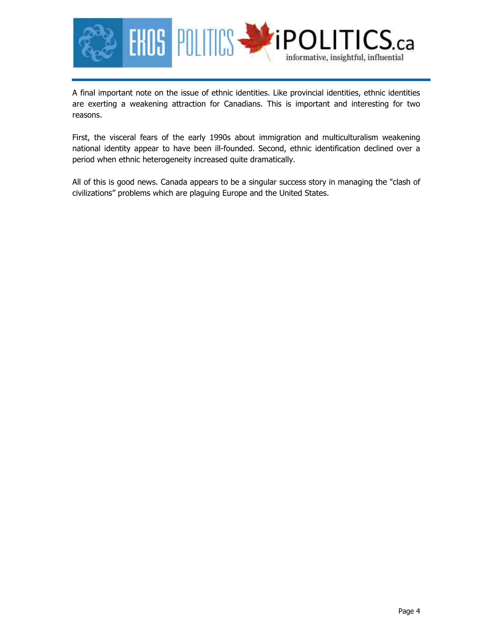

A final important note on the issue of ethnic identities. Like provincial identities, ethnic identities are exerting a weakening attraction for Canadians. This is important and interesting for two reasons.

First, the visceral fears of the early 1990s about immigration and multiculturalism weakening national identity appear to have been ill-founded. Second, ethnic identification declined over a period when ethnic heterogeneity increased quite dramatically.

All of this is good news. Canada appears to be a singular success story in managing the "clash of civilizations" problems which are plaguing Europe and the United States.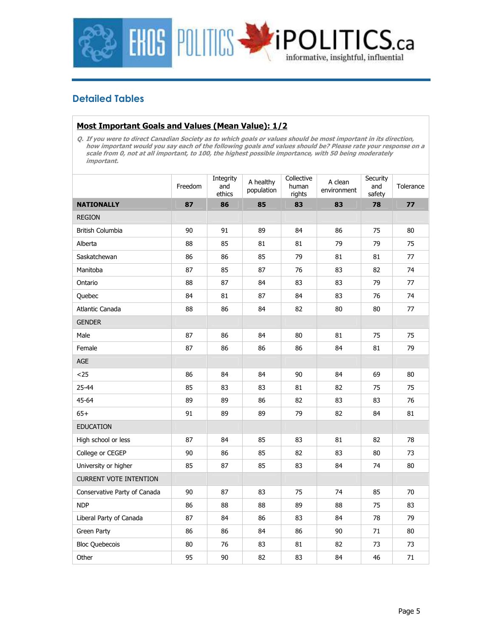

## **Detailed Tables**

#### **Most Important Goals and Values (Mean Value): 1/2**

**Q. If you were to direct Canadian Society as to which goals or values should be most important in its direction, how important would you say each of the following goals and values should be? Please rate your response on a scale from 0, not at all important, to 100, the highest possible importance, with 50 being moderately important.** 

|                               | Freedom | Integrity<br>and<br>ethics | A healthy<br>population | Collective<br>human<br>rights | A clean<br>environment | Security<br>and<br>safety | Tolerance |
|-------------------------------|---------|----------------------------|-------------------------|-------------------------------|------------------------|---------------------------|-----------|
| <b>NATIONALLY</b>             | 87      | 86                         | 85                      | 83                            | 83                     | 78                        | 77        |
| <b>REGION</b>                 |         |                            |                         |                               |                        |                           |           |
| British Columbia              | 90      | 91                         | 89                      | 84                            | 86                     | 75                        | 80        |
| Alberta                       | 88      | 85                         | 81                      | 81                            | 79                     | 79                        | 75        |
| Saskatchewan                  | 86      | 86                         | 85                      | 79                            | 81                     | 81                        | 77        |
| Manitoba                      | 87      | 85                         | 87                      | 76                            | 83                     | 82                        | 74        |
| Ontario                       | 88      | 87                         | 84                      | 83                            | 83                     | 79                        | 77        |
| Quebec                        | 84      | 81                         | 87                      | 84                            | 83                     | 76                        | 74        |
| Atlantic Canada               | 88      | 86                         | 84                      | 82                            | 80                     | 80                        | 77        |
| <b>GENDER</b>                 |         |                            |                         |                               |                        |                           |           |
| Male                          | 87      | 86                         | 84                      | 80                            | 81                     | 75                        | 75        |
| Female                        | 87      | 86                         | 86                      | 86                            | 84                     | 81                        | 79        |
| AGE                           |         |                            |                         |                               |                        |                           |           |
| $25$                          | 86      | 84                         | 84                      | 90                            | 84                     | 69                        | 80        |
| $25 - 44$                     | 85      | 83                         | 83                      | 81                            | 82                     | 75                        | 75        |
| 45-64                         | 89      | 89                         | 86                      | 82                            | 83                     | 83                        | 76        |
| $65+$                         | 91      | 89                         | 89                      | 79                            | 82                     | 84                        | 81        |
| <b>EDUCATION</b>              |         |                            |                         |                               |                        |                           |           |
| High school or less           | 87      | 84                         | 85                      | 83                            | 81                     | 82                        | 78        |
| College or CEGEP              | 90      | 86                         | 85                      | 82                            | 83                     | 80                        | 73        |
| University or higher          | 85      | 87                         | 85                      | 83                            | 84                     | 74                        | 80        |
| <b>CURRENT VOTE INTENTION</b> |         |                            |                         |                               |                        |                           |           |
| Conservative Party of Canada  | 90      | 87                         | 83                      | 75                            | 74                     | 85                        | 70        |
| <b>NDP</b>                    | 86      | 88                         | 88                      | 89                            | 88                     | 75                        | 83        |
| Liberal Party of Canada       | 87      | 84                         | 86                      | 83                            | 84                     | 78                        | 79        |
| Green Party                   | 86      | 86                         | 84                      | 86                            | 90                     | 71                        | 80        |
| <b>Bloc Quebecois</b>         | 80      | 76                         | 83                      | 81                            | 82                     | 73                        | 73        |
| Other                         | 95      | 90                         | 82                      | 83                            | 84                     | 46                        | $71\,$    |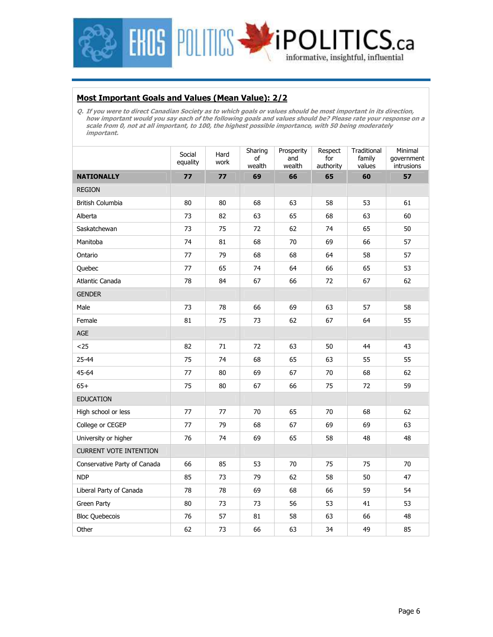

#### **Most Important Goals and Values (Mean Value): 2/2**

**Q. If you were to direct Canadian Society as to which goals or values should be most important in its direction, how important would you say each of the following goals and values should be? Please rate your response on a scale from 0, not at all important, to 100, the highest possible importance, with 50 being moderately important.** 

|                               | Social<br>equality | Hard<br>work | Sharing<br>of<br>wealth | Prosperity<br>and<br>wealth | Respect<br>for<br>authority | Traditional<br>family<br>values | Minimal<br>qovernment<br>intrusions |
|-------------------------------|--------------------|--------------|-------------------------|-----------------------------|-----------------------------|---------------------------------|-------------------------------------|
| <b>NATIONALLY</b>             | 77                 | 77           | 69                      | 66                          | 65                          | 60                              | 57                                  |
| <b>REGION</b>                 |                    |              |                         |                             |                             |                                 |                                     |
| British Columbia              | 80                 | 80           | 68                      | 63                          | 58                          | 53                              | 61                                  |
| Alberta                       | 73                 | 82           | 63                      | 65                          | 68                          | 63                              | 60                                  |
| Saskatchewan                  | 73                 | 75           | 72                      | 62                          | 74                          | 65                              | 50                                  |
| Manitoba                      | 74                 | 81           | 68                      | 70                          | 69                          | 66                              | 57                                  |
| Ontario                       | 77                 | 79           | 68                      | 68                          | 64                          | 58                              | 57                                  |
| Quebec                        | 77                 | 65           | 74                      | 64                          | 66                          | 65                              | 53                                  |
| Atlantic Canada               | 78                 | 84           | 67                      | 66                          | 72                          | 67                              | 62                                  |
| <b>GENDER</b>                 |                    |              |                         |                             |                             |                                 |                                     |
| Male                          | 73                 | 78           | 66                      | 69                          | 63                          | 57                              | 58                                  |
| Female                        | 81                 | 75           | 73                      | 62                          | 67                          | 64                              | 55                                  |
| AGE                           |                    |              |                         |                             |                             |                                 |                                     |
| $25$                          | 82                 | 71           | 72                      | 63                          | 50                          | 44                              | 43                                  |
| $25 - 44$                     | 75                 | 74           | 68                      | 65                          | 63                          | 55                              | 55                                  |
| 45-64                         | 77                 | 80           | 69                      | 67                          | 70                          | 68                              | 62                                  |
| $65+$                         | 75                 | 80           | 67                      | 66                          | 75                          | 72                              | 59                                  |
| <b>EDUCATION</b>              |                    |              |                         |                             |                             |                                 |                                     |
| High school or less           | 77                 | 77           | 70                      | 65                          | 70                          | 68                              | 62                                  |
| College or CEGEP              | 77                 | 79           | 68                      | 67                          | 69                          | 69                              | 63                                  |
| University or higher          | 76                 | 74           | 69                      | 65                          | 58                          | 48                              | 48                                  |
| <b>CURRENT VOTE INTENTION</b> |                    |              |                         |                             |                             |                                 |                                     |
| Conservative Party of Canada  | 66                 | 85           | 53                      | 70                          | 75                          | 75                              | 70                                  |
| <b>NDP</b>                    | 85                 | 73           | 79                      | 62                          | 58                          | 50                              | 47                                  |
| Liberal Party of Canada       | 78                 | 78           | 69                      | 68                          | 66                          | 59                              | 54                                  |
| Green Party                   | 80                 | 73           | 73                      | 56                          | 53                          | 41                              | 53                                  |
| <b>Bloc Quebecois</b>         | 76                 | 57           | 81                      | 58                          | 63                          | 66                              | 48                                  |
| Other                         | 62                 | 73           | 66                      | 63                          | 34                          | 49                              | 85                                  |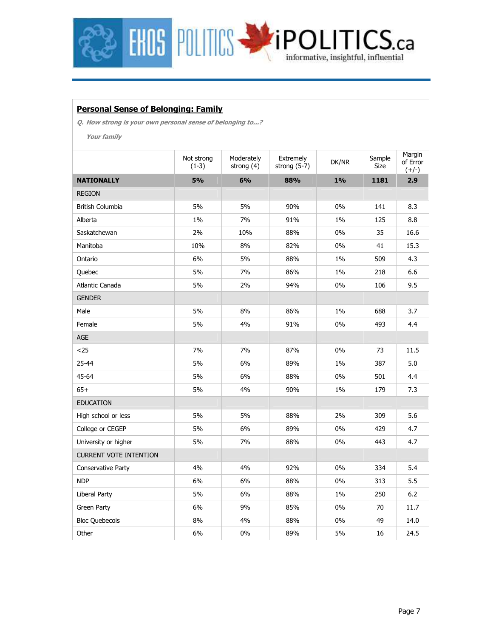

#### **Personal Sense of Belonging: Family**

**Q. How strong is your own personal sense of belonging to...?** 

**Your family** 

|                               | Not strong<br>$(1-3)$ | Moderately<br>strong (4) | Extremely<br>strong $(5-7)$ | DK/NR | Sample<br>Size | Margin<br>of Error<br>$(+/-)$ |
|-------------------------------|-----------------------|--------------------------|-----------------------------|-------|----------------|-------------------------------|
| <b>NATIONALLY</b>             | 5%                    | 6%                       | 88%                         | $1\%$ | 1181           | 2.9                           |
| <b>REGION</b>                 |                       |                          |                             |       |                |                               |
| British Columbia              | 5%                    | 5%                       | 90%                         | $0\%$ | 141            | 8.3                           |
| Alberta                       | 1%                    | 7%                       | 91%                         | 1%    | 125            | 8.8                           |
| Saskatchewan                  | 2%                    | 10%                      | 88%                         | 0%    | 35             | 16.6                          |
| Manitoba                      | 10%                   | 8%                       | 82%                         | $0\%$ | 41             | 15.3                          |
| Ontario                       | 6%                    | 5%                       | 88%                         | 1%    | 509            | 4.3                           |
| Quebec                        | 5%                    | 7%                       | 86%                         | 1%    | 218            | 6.6                           |
| Atlantic Canada               | 5%                    | 2%                       | 94%                         | $0\%$ | 106            | 9.5                           |
| <b>GENDER</b>                 |                       |                          |                             |       |                |                               |
| Male                          | 5%                    | 8%                       | 86%                         | $1\%$ | 688            | 3.7                           |
| Female                        | 5%                    | 4%                       | 91%                         | 0%    | 493            | 4.4                           |
| AGE                           |                       |                          |                             |       |                |                               |
| $25$                          | 7%                    | 7%                       | 87%                         | $0\%$ | 73             | 11.5                          |
| 25-44                         | 5%                    | 6%                       | 89%                         | $1\%$ | 387            | 5.0                           |
| 45-64                         | 5%                    | 6%                       | 88%                         | 0%    | 501            | 4.4                           |
| $65+$                         | 5%                    | 4%                       | 90%                         | $1\%$ | 179            | 7.3                           |
| <b>EDUCATION</b>              |                       |                          |                             |       |                |                               |
| High school or less           | 5%                    | 5%                       | 88%                         | 2%    | 309            | 5.6                           |
| College or CEGEP              | 5%                    | 6%                       | 89%                         | $0\%$ | 429            | 4.7                           |
| University or higher          | 5%                    | 7%                       | 88%                         | $0\%$ | 443            | 4.7                           |
| <b>CURRENT VOTE INTENTION</b> |                       |                          |                             |       |                |                               |
| Conservative Party            | 4%                    | 4%                       | 92%                         | $0\%$ | 334            | 5.4                           |
| <b>NDP</b>                    | 6%                    | 6%                       | 88%                         | 0%    | 313            | 5.5                           |
| <b>Liberal Party</b>          | 5%                    | 6%                       | 88%                         | 1%    | 250            | 6.2                           |
| Green Party                   | 6%                    | 9%                       | 85%                         | 0%    | 70             | 11.7                          |
| <b>Bloc Quebecois</b>         | 8%                    | 4%                       | 88%                         | 0%    | 49             | 14.0                          |
| Other                         | 6%                    | 0%                       | 89%                         | 5%    | 16             | 24.5                          |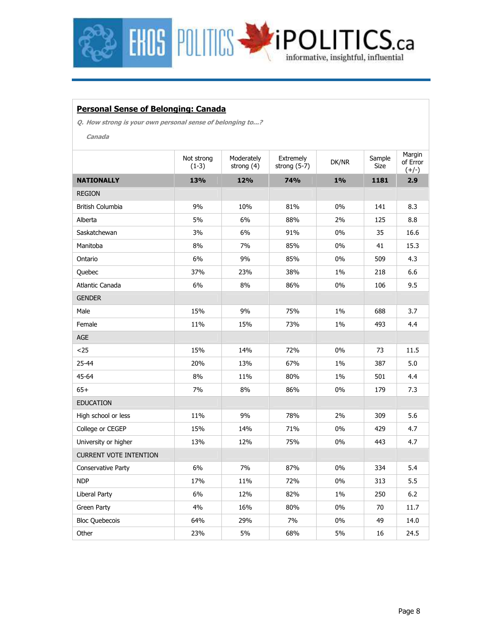

#### **Personal Sense of Belonging: Canada**

**Q. How strong is your own personal sense of belonging to...?** 

**Canada** 

|                               | Not strong<br>$(1-3)$ | Moderately<br>strong (4) | Extremely<br>strong $(5-7)$ | DK/NR | Sample<br>Size | Margin<br>of Error<br>$(+/-)$ |
|-------------------------------|-----------------------|--------------------------|-----------------------------|-------|----------------|-------------------------------|
| <b>NATIONALLY</b>             | 13%                   | 12%                      | 74%                         | $1\%$ | 1181           | 2.9                           |
| <b>REGION</b>                 |                       |                          |                             |       |                |                               |
| British Columbia              | 9%                    | 10%                      | 81%                         | 0%    | 141            | 8.3                           |
| Alberta                       | 5%                    | 6%                       | 88%                         | 2%    | 125            | 8.8                           |
| Saskatchewan                  | 3%                    | 6%                       | 91%                         | 0%    | 35             | 16.6                          |
| Manitoba                      | 8%                    | 7%                       | 85%                         | 0%    | 41             | 15.3                          |
| Ontario                       | 6%                    | 9%                       | 85%                         | $0\%$ | 509            | 4.3                           |
| Quebec                        | 37%                   | 23%                      | 38%                         | $1\%$ | 218            | 6.6                           |
| Atlantic Canada               | 6%                    | 8%                       | 86%                         | 0%    | 106            | 9.5                           |
| <b>GENDER</b>                 |                       |                          |                             |       |                |                               |
| Male                          | 15%                   | 9%                       | 75%                         | 1%    | 688            | 3.7                           |
| Female                        | 11%                   | 15%                      | 73%                         | 1%    | 493            | 4.4                           |
| AGE                           |                       |                          |                             |       |                |                               |
| $25$                          | 15%                   | 14%                      | 72%                         | 0%    | 73             | 11.5                          |
| 25-44                         | 20%                   | 13%                      | 67%                         | $1\%$ | 387            | 5.0                           |
| 45-64                         | 8%                    | 11%                      | 80%                         | $1\%$ | 501            | 4.4                           |
| $65+$                         | 7%                    | 8%                       | 86%                         | 0%    | 179            | 7.3                           |
| <b>EDUCATION</b>              |                       |                          |                             |       |                |                               |
| High school or less           | 11%                   | 9%                       | 78%                         | 2%    | 309            | 5.6                           |
| College or CEGEP              | 15%                   | 14%                      | 71%                         | 0%    | 429            | 4.7                           |
| University or higher          | 13%                   | 12%                      | 75%                         | $0\%$ | 443            | 4.7                           |
| <b>CURRENT VOTE INTENTION</b> |                       |                          |                             |       |                |                               |
| Conservative Party            | 6%                    | 7%                       | 87%                         | 0%    | 334            | 5.4                           |
| <b>NDP</b>                    | 17%                   | 11%                      | 72%                         | 0%    | 313            | 5.5                           |
| <b>Liberal Party</b>          | 6%                    | 12%                      | 82%                         | 1%    | 250            | 6.2                           |
| Green Party                   | 4%                    | 16%                      | 80%                         | 0%    | 70             | 11.7                          |
| <b>Bloc Quebecois</b>         | 64%                   | 29%                      | 7%                          | $0\%$ | 49             | 14.0                          |
| Other                         | 23%                   | 5%                       | 68%                         | 5%    | 16             | 24.5                          |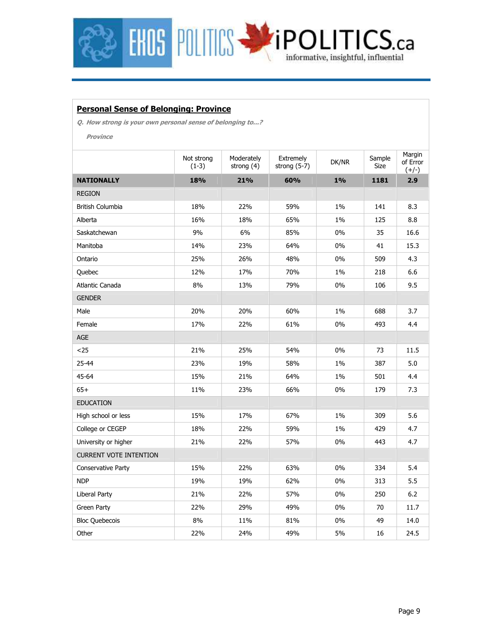

#### **Personal Sense of Belonging: Province**

**Q. How strong is your own personal sense of belonging to...?** 

**Province** 

|                               | Not strong<br>$(1-3)$ | Moderately<br>strong (4) | Extremely<br>strong $(5-7)$ | DK/NR | Sample<br>Size | Margin<br>of Error<br>$(+/-)$ |
|-------------------------------|-----------------------|--------------------------|-----------------------------|-------|----------------|-------------------------------|
| <b>NATIONALLY</b>             | 18%                   | 21%                      | 60%                         | $1\%$ | 1181           | 2.9                           |
| <b>REGION</b>                 |                       |                          |                             |       |                |                               |
| British Columbia              | 18%                   | 22%                      | 59%                         | 1%    | 141            | 8.3                           |
| Alberta                       | 16%                   | 18%                      | 65%                         | 1%    | 125            | 8.8                           |
| Saskatchewan                  | 9%                    | 6%                       | 85%                         | $0\%$ | 35             | 16.6                          |
| Manitoba                      | 14%                   | 23%                      | 64%                         | $0\%$ | 41             | 15.3                          |
| Ontario                       | 25%                   | 26%                      | 48%                         | 0%    | 509            | 4.3                           |
| Quebec                        | 12%                   | 17%                      | 70%                         | $1\%$ | 218            | 6.6                           |
| Atlantic Canada               | 8%                    | 13%                      | 79%                         | $0\%$ | 106            | 9.5                           |
| <b>GENDER</b>                 |                       |                          |                             |       |                |                               |
| Male                          | 20%                   | 20%                      | 60%                         | $1\%$ | 688            | 3.7                           |
| Female                        | 17%                   | 22%                      | 61%                         | $0\%$ | 493            | 4.4                           |
| AGE                           |                       |                          |                             |       |                |                               |
| $25$                          | 21%                   | 25%                      | 54%                         | $0\%$ | 73             | 11.5                          |
| 25-44                         | 23%                   | 19%                      | 58%                         | $1\%$ | 387            | 5.0                           |
| 45-64                         | 15%                   | 21%                      | 64%                         | 1%    | 501            | 4.4                           |
| $65+$                         | 11%                   | 23%                      | 66%                         | $0\%$ | 179            | 7.3                           |
| <b>EDUCATION</b>              |                       |                          |                             |       |                |                               |
| High school or less           | 15%                   | 17%                      | 67%                         | 1%    | 309            | 5.6                           |
| College or CEGEP              | 18%                   | 22%                      | 59%                         | $1\%$ | 429            | 4.7                           |
| University or higher          | 21%                   | 22%                      | 57%                         | $0\%$ | 443            | 4.7                           |
| <b>CURRENT VOTE INTENTION</b> |                       |                          |                             |       |                |                               |
| Conservative Party            | 15%                   | 22%                      | 63%                         | $0\%$ | 334            | 5.4                           |
| <b>NDP</b>                    | 19%                   | 19%                      | 62%                         | 0%    | 313            | 5.5                           |
| <b>Liberal Party</b>          | 21%                   | 22%                      | 57%                         | 0%    | 250            | 6.2                           |
| Green Party                   | 22%                   | 29%                      | 49%                         | 0%    | 70             | 11.7                          |
| <b>Bloc Quebecois</b>         | 8%                    | 11%                      | 81%                         | $0\%$ | 49             | 14.0                          |
| Other                         | 22%                   | 24%                      | 49%                         | 5%    | 16             | 24.5                          |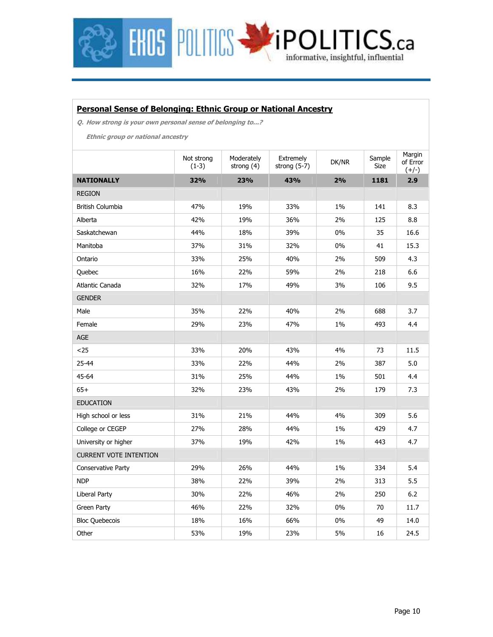

#### **Personal Sense of Belonging: Ethnic Group or National Ancestry**

**Q. How strong is your own personal sense of belonging to...?** 

**Ethnic group or national ancestry** 

|                               | Not strong<br>$(1-3)$ | Moderately<br>strong $(4)$ | Extremely<br>strong $(5-7)$ | DK/NR | Sample<br>Size | Margin<br>of Error<br>$(+/-)$ |
|-------------------------------|-----------------------|----------------------------|-----------------------------|-------|----------------|-------------------------------|
| <b>NATIONALLY</b>             | 32%                   | 23%                        | 43%                         | 2%    | 1181           | 2.9                           |
| <b>REGION</b>                 |                       |                            |                             |       |                |                               |
| British Columbia              | 47%                   | 19%                        | 33%                         | 1%    | 141            | 8.3                           |
| Alberta                       | 42%                   | 19%                        | 36%                         | 2%    | 125            | 8.8                           |
| Saskatchewan                  | 44%                   | 18%                        | 39%                         | $0\%$ | 35             | 16.6                          |
| Manitoba                      | 37%                   | 31%                        | 32%                         | $0\%$ | 41             | 15.3                          |
| Ontario                       | 33%                   | 25%                        | 40%                         | 2%    | 509            | 4.3                           |
| Quebec                        | 16%                   | 22%                        | 59%                         | 2%    | 218            | 6.6                           |
| Atlantic Canada               | 32%                   | 17%                        | 49%                         | 3%    | 106            | 9.5                           |
| <b>GENDER</b>                 |                       |                            |                             |       |                |                               |
| Male                          | 35%                   | 22%                        | 40%                         | 2%    | 688            | 3.7                           |
| Female                        | 29%                   | 23%                        | 47%                         | $1\%$ | 493            | 4.4                           |
| <b>AGE</b>                    |                       |                            |                             |       |                |                               |
| $25$                          | 33%                   | 20%                        | 43%                         | 4%    | 73             | 11.5                          |
| $25 - 44$                     | 33%                   | 22%                        | 44%                         | 2%    | 387            | 5.0                           |
| 45-64                         | 31%                   | 25%                        | 44%                         | $1\%$ | 501            | 4.4                           |
| $65+$                         | 32%                   | 23%                        | 43%                         | 2%    | 179            | 7.3                           |
| <b>EDUCATION</b>              |                       |                            |                             |       |                |                               |
| High school or less           | 31%                   | 21%                        | 44%                         | 4%    | 309            | 5.6                           |
| College or CEGEP              | 27%                   | 28%                        | 44%                         | $1\%$ | 429            | 4.7                           |
| University or higher          | 37%                   | 19%                        | 42%                         | $1\%$ | 443            | 4.7                           |
| <b>CURRENT VOTE INTENTION</b> |                       |                            |                             |       |                |                               |
| Conservative Party            | 29%                   | 26%                        | 44%                         | 1%    | 334            | 5.4                           |
| <b>NDP</b>                    | 38%                   | 22%                        | 39%                         | 2%    | 313            | 5.5                           |
| Liberal Party                 | 30%                   | 22%                        | 46%                         | 2%    | 250            | 6.2                           |
| Green Party                   | 46%                   | 22%                        | 32%                         | 0%    | 70             | 11.7                          |
| <b>Bloc Quebecois</b>         | 18%                   | 16%                        | 66%                         | 0%    | 49             | 14.0                          |
| Other                         | 53%                   | 19%                        | 23%                         | 5%    | 16             | 24.5                          |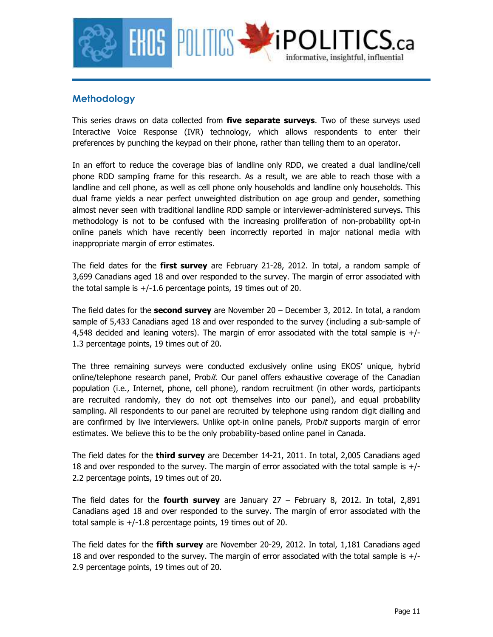

### **Methodology**

This series draws on data collected from **five separate surveys**. Two of these surveys used Interactive Voice Response (IVR) technology, which allows respondents to enter their preferences by punching the keypad on their phone, rather than telling them to an operator.

In an effort to reduce the coverage bias of landline only RDD, we created a dual landline/cell phone RDD sampling frame for this research. As a result, we are able to reach those with a landline and cell phone, as well as cell phone only households and landline only households. This dual frame yields a near perfect unweighted distribution on age group and gender, something almost never seen with traditional landline RDD sample or interviewer-administered surveys. This methodology is not to be confused with the increasing proliferation of non-probability opt-in online panels which have recently been incorrectly reported in major national media with inappropriate margin of error estimates.

The field dates for the **first survey** are February 21-28, 2012. In total, a random sample of 3,699 Canadians aged 18 and over responded to the survey. The margin of error associated with the total sample is  $+/-1.6$  percentage points, 19 times out of 20.

The field dates for the **second survey** are November 20 – December 3, 2012. In total, a random sample of 5,433 Canadians aged 18 and over responded to the survey (including a sub-sample of 4,548 decided and leaning voters). The margin of error associated with the total sample is +/- 1.3 percentage points, 19 times out of 20.

The three remaining surveys were conducted exclusively online using EKOS' unique, hybrid online/telephone research panel, Probit. Our panel offers exhaustive coverage of the Canadian population (i.e., Internet, phone, cell phone), random recruitment (in other words, participants are recruited randomly, they do not opt themselves into our panel), and equal probability sampling. All respondents to our panel are recruited by telephone using random digit dialling and are confirmed by live interviewers. Unlike opt-in online panels, Probit supports margin of error estimates. We believe this to be the only probability-based online panel in Canada.

The field dates for the **third survey** are December 14-21, 2011. In total, 2,005 Canadians aged 18 and over responded to the survey. The margin of error associated with the total sample is +/- 2.2 percentage points, 19 times out of 20.

The field dates for the **fourth survey** are January 27 – February 8, 2012. In total, 2,891 Canadians aged 18 and over responded to the survey. The margin of error associated with the total sample is  $+/-1.8$  percentage points, 19 times out of 20.

The field dates for the **fifth survey** are November 20-29, 2012. In total, 1,181 Canadians aged 18 and over responded to the survey. The margin of error associated with the total sample is +/- 2.9 percentage points, 19 times out of 20.